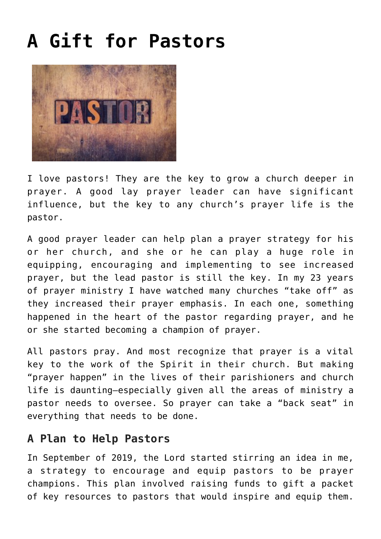## **[A Gift for Pastors](https://www.prayerleader.com/a-gift-for-pastors/)**



I love pastors! They are the key to grow a church deeper in prayer. A good lay prayer leader can have significant influence, but the key to any church's prayer life is the pastor.

A good prayer leader can help plan a prayer strategy for his or her church, and she or he can play a huge role in equipping, encouraging and implementing to see increased prayer, but the lead pastor is still the key. In my 23 years of prayer ministry I have watched many churches "take off" as they increased their prayer emphasis. In each one, something happened in the heart of the pastor regarding prayer, and he or she started becoming a champion of prayer.

All pastors pray. And most recognize that prayer is a vital key to the work of the Spirit in their church. But making "prayer happen" in the lives of their parishioners and church life is daunting—especially given all the areas of ministry a pastor needs to oversee. So prayer can take a "back seat" in everything that needs to be done.

## **A Plan to Help Pastors**

In September of 2019, the Lord started stirring an idea in me, a strategy to encourage and equip pastors to be prayer champions. This plan involved raising funds to gift a packet of key resources to pastors that would inspire and equip them.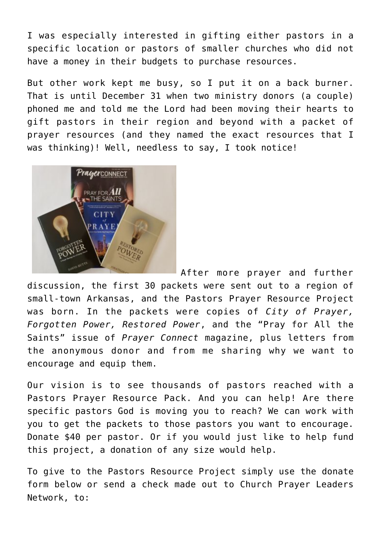I was especially interested in gifting either pastors in a specific location or pastors of smaller churches who did not have a money in their budgets to purchase resources.

But other work kept me busy, so I put it on a back burner. That is until December 31 when two ministry donors (a couple) phoned me and told me the Lord had been moving their hearts to gift pastors in their region and beyond with a packet of prayer resources (and they named the exact resources that I was thinking)! Well, needless to say, I took notice!



After more prayer and further

discussion, the first 30 packets were sent out to a region of small-town Arkansas, and the Pastors Prayer Resource Project was born. In the packets were copies of *City of Prayer, Forgotten Power, Restored Power*, and the "Pray for All the Saints" issue of *Prayer Connect* magazine, plus letters from the anonymous donor and from me sharing why we want to encourage and equip them.

Our vision is to see thousands of pastors reached with a Pastors Prayer Resource Pack. And you can help! Are there specific pastors God is moving you to reach? We can work with you to get the packets to those pastors you want to encourage. Donate \$40 per pastor. Or if you would just like to help fund this project, a donation of any size would help.

To give to the Pastors Resource Project simply use the donate form below or send a check made out to Church Prayer Leaders Network, to: